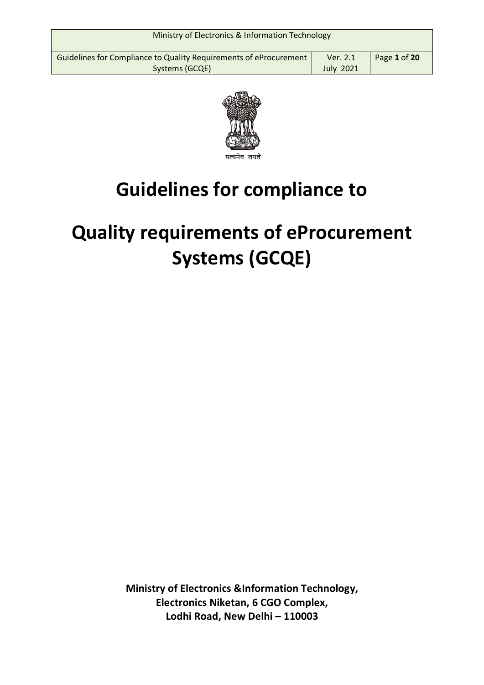| Ministry of Electronics & Information Technology                                    |                              |              |
|-------------------------------------------------------------------------------------|------------------------------|--------------|
| Guidelines for Compliance to Quality Requirements of eProcurement<br>Systems (GCQE) | Ver. 2.1<br><b>July 2021</b> | Page 1 of 20 |



# **Guidelines for compliance to**

# **Quality requirements of eProcurement Systems (GCQE)**

**Ministry of Electronics &Information Technology, Electronics Niketan, 6 CGO Complex, Lodhi Road, New Delhi – 110003**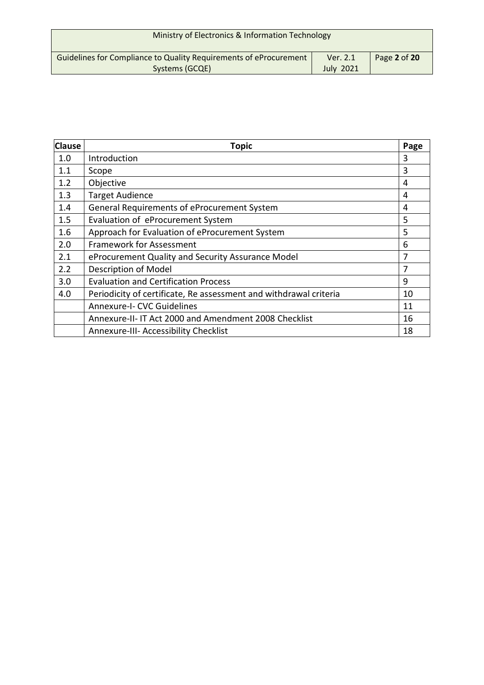| Ministry of Electronics & Information Technology                                    |                              |              |
|-------------------------------------------------------------------------------------|------------------------------|--------------|
| Guidelines for Compliance to Quality Requirements of eProcurement<br>Systems (GCQE) | Ver. 2.1<br><b>July 2021</b> | Page 2 of 20 |

| <b>Clause</b> | <b>Topic</b>                                                      | Page |
|---------------|-------------------------------------------------------------------|------|
| 1.0           | Introduction                                                      | 3    |
| 1.1           | Scope                                                             | 3    |
| 1.2           | Objective                                                         | 4    |
| 1.3           | <b>Target Audience</b>                                            | 4    |
| 1.4           | General Requirements of eProcurement System                       | 4    |
| 1.5           | Evaluation of eProcurement System                                 | 5    |
| 1.6           | Approach for Evaluation of eProcurement System                    | 5    |
| 2.0           | <b>Framework for Assessment</b>                                   | 6    |
| 2.1           | eProcurement Quality and Security Assurance Model                 | 7    |
| 2.2           | Description of Model                                              | 7    |
| 3.0           | <b>Evaluation and Certification Process</b>                       | 9    |
| 4.0           | Periodicity of certificate, Re assessment and withdrawal criteria | 10   |
|               | <b>Annexure-I- CVC Guidelines</b>                                 | 11   |
|               | Annexure-II- IT Act 2000 and Amendment 2008 Checklist             | 16   |
|               | Annexure-III- Accessibility Checklist                             | 18   |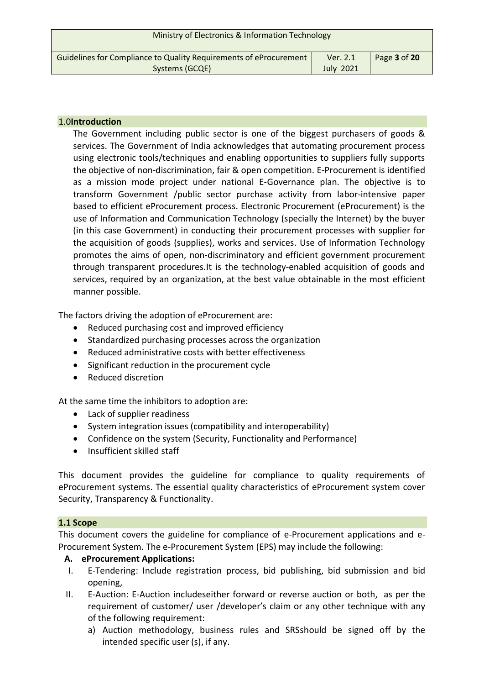| Ministry of Electronics & Information Technology                  |                  |              |
|-------------------------------------------------------------------|------------------|--------------|
| Guidelines for Compliance to Quality Requirements of eProcurement | Ver. 2.1         | Page 3 of 20 |
| Systems (GCQE)                                                    | <b>July 2021</b> |              |

## 1.0**Introduction**

The Government including public sector is one of the biggest purchasers of goods & services. The Government of India acknowledges that automating procurement process using electronic tools/techniques and enabling opportunities to suppliers fully supports the objective of non-discrimination, fair & open competition. E-Procurement is identified as a mission mode project under national E-Governance plan. The objective is to transform Government /public sector purchase activity from labor-intensive paper based to efficient eProcurement process. Electronic Procurement (eProcurement) is the use of Information and Communication Technology (specially the Internet) by the buyer (in this case Government) in conducting their procurement processes with supplier for the acquisition of goods (supplies), works and services. Use of Information Technology promotes the aims of open, non‐discriminatory and efficient government procurement through transparent procedures.It is the technology‐enabled acquisition of goods and services, required by an organization, at the best value obtainable in the most efficient manner possible.

The factors driving the adoption of eProcurement are:

- Reduced purchasing cost and improved efficiency
- Standardized purchasing processes across the organization
- Reduced administrative costs with better effectiveness
- Significant reduction in the procurement cycle
- Reduced discretion

At the same time the inhibitors to adoption are:

- Lack of supplier readiness
- System integration issues (compatibility and interoperability)
- Confidence on the system (Security, Functionality and Performance)
- Insufficient skilled staff

This document provides the guideline for compliance to quality requirements of eProcurement systems. The essential quality characteristics of eProcurement system cover Security, Transparency & Functionality.

#### **1.1 Scope**

This document covers the guideline for compliance of e-Procurement applications and e-Procurement System. The e-Procurement System (EPS) may include the following:

# **A. eProcurement Applications:**

- I. E-Tendering: Include registration process, bid publishing, bid submission and bid opening,
- II. E-Auction: E-Auction includeseither forward or reverse auction or both, as per the requirement of customer/ user /developer's claim or any other technique with any of the following requirement:
	- a) Auction methodology, business rules and SRSshould be signed off by the intended specific user (s), if any.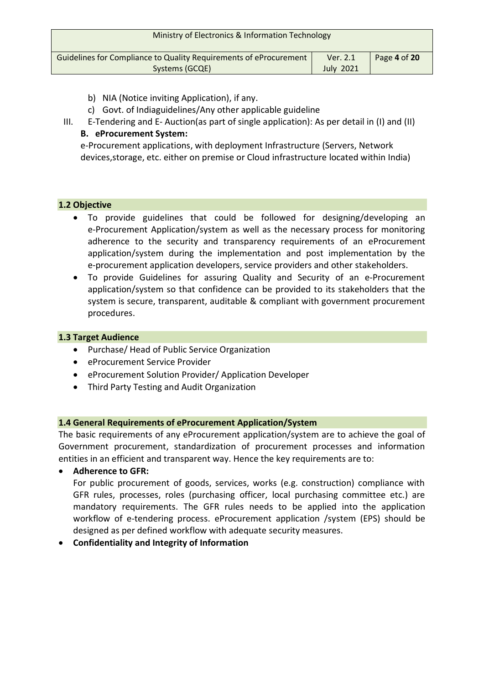| Ministry of Electronics & Information Technology                                    |                              |              |
|-------------------------------------------------------------------------------------|------------------------------|--------------|
| Guidelines for Compliance to Quality Requirements of eProcurement<br>Systems (GCQE) | Ver. 2.1<br><b>July 2021</b> | Page 4 of 20 |

- b) NIA (Notice inviting Application), if any.
- c) Govt. of Indiaguidelines/Any other applicable guideline
- III. E-Tendering and E- Auction(as part of single application): As per detail in (I) and (II) **B. eProcurement System:**

e-Procurement applications, with deployment Infrastructure (Servers, Network devices,storage, etc. either on premise or Cloud infrastructure located within India)

# **1.2 Objective**

- To provide guidelines that could be followed for designing/developing an e-Procurement Application/system as well as the necessary process for monitoring adherence to the security and transparency requirements of an eProcurement application/system during the implementation and post implementation by the e‐procurement application developers, service providers and other stakeholders.
- To provide Guidelines for assuring Quality and Security of an e-Procurement application/system so that confidence can be provided to its stakeholders that the system is secure, transparent, auditable & compliant with government procurement procedures.

## **1.3 Target Audience**

- Purchase/ Head of Public Service Organization
- eProcurement Service Provider
- eProcurement Solution Provider/ Application Developer
- Third Party Testing and Audit Organization

# **1.4 General Requirements of eProcurement Application/System**

The basic requirements of any eProcurement application/system are to achieve the goal of Government procurement, standardization of procurement processes and information entities in an efficient and transparent way. Hence the key requirements are to:

**Adherence to GFR:** 

For public procurement of goods, services, works (e.g. construction) compliance with GFR rules, processes, roles (purchasing officer, local purchasing committee etc.) are mandatory requirements. The GFR rules needs to be applied into the application workflow of e-tendering process. eProcurement application /system (EPS) should be designed as per defined workflow with adequate security measures.

# **Confidentiality and Integrity of Information**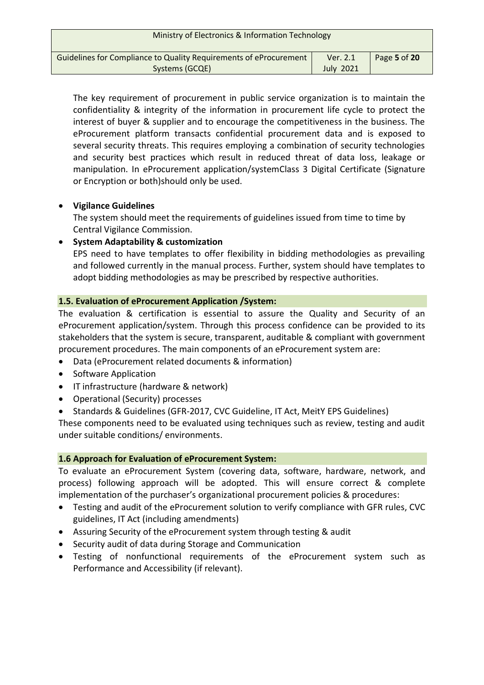| Ministry of Electronics & Information Technology                                    |                              |              |
|-------------------------------------------------------------------------------------|------------------------------|--------------|
| Guidelines for Compliance to Quality Requirements of eProcurement<br>Systems (GCQE) | Ver. 2.1<br><b>July 2021</b> | Page 5 of 20 |

The key requirement of procurement in public service organization is to maintain the confidentiality & integrity of the information in procurement life cycle to protect the interest of buyer & supplier and to encourage the competitiveness in the business. The eProcurement platform transacts confidential procurement data and is exposed to several security threats. This requires employing a combination of security technologies and security best practices which result in reduced threat of data loss, leakage or manipulation. In eProcurement application/systemClass 3 Digital Certificate (Signature or Encryption or both)should only be used.

# **Vigilance Guidelines**

The system should meet the requirements of guidelines issued from time to time by Central Vigilance Commission.

# **System Adaptability & customization**

EPS need to have templates to offer flexibility in bidding methodologies as prevailing and followed currently in the manual process. Further, system should have templates to adopt bidding methodologies as may be prescribed by respective authorities.

# **1.5. Evaluation of eProcurement Application /System:**

The evaluation & certification is essential to assure the Quality and Security of an eProcurement application/system. Through this process confidence can be provided to its stakeholders that the system is secure, transparent, auditable & compliant with government procurement procedures. The main components of an eProcurement system are:

- Data (eProcurement related documents & information)
- Software Application
- IT infrastructure (hardware & network)
- Operational (Security) processes
- Standards & Guidelines (GFR-2017, CVC Guideline, IT Act, MeitY EPS Guidelines)

These components need to be evaluated using techniques such as review, testing and audit under suitable conditions/ environments.

# **1.6 Approach for Evaluation of eProcurement System:**

To evaluate an eProcurement System (covering data, software, hardware, network, and process) following approach will be adopted. This will ensure correct & complete implementation of the purchaser's organizational procurement policies & procedures:

- Testing and audit of the eProcurement solution to verify compliance with GFR rules, CVC guidelines, IT Act (including amendments)
- Assuring Security of the eProcurement system through testing & audit
- Security audit of data during Storage and Communication
- Testing of nonfunctional requirements of the eProcurement system such as Performance and Accessibility (if relevant).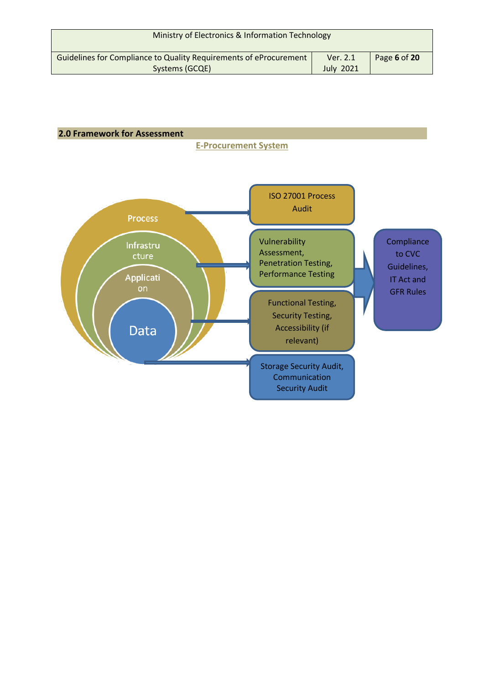| Ministry of Electronics & Information Technology                                    |                              |              |
|-------------------------------------------------------------------------------------|------------------------------|--------------|
| Guidelines for Compliance to Quality Requirements of eProcurement<br>Systems (GCQE) | Ver. 2.1<br><b>July 2021</b> | Page 6 of 20 |

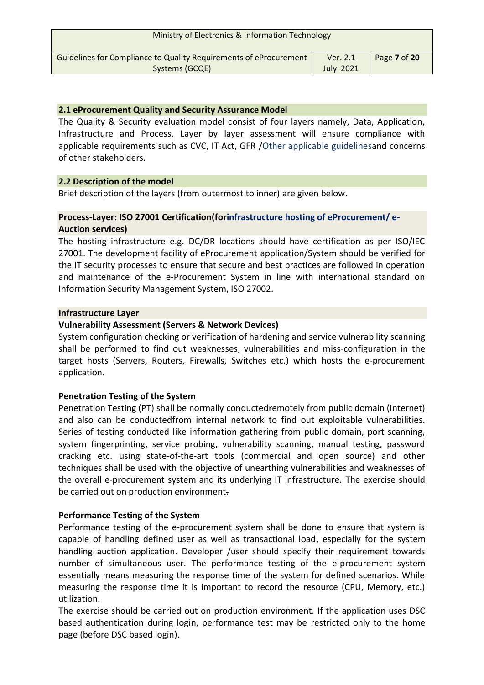| Ministry of Electronics & Information Technology                  |                  |              |
|-------------------------------------------------------------------|------------------|--------------|
| Guidelines for Compliance to Quality Requirements of eProcurement | Ver. 2.1         | Page 7 of 20 |
| Systems (GCQE)                                                    | <b>July 2021</b> |              |

## **2.1 eProcurement Quality and Security Assurance Model**

The Quality & Security evaluation model consist of four layers namely, Data, Application, Infrastructure and Process. Layer by layer assessment will ensure compliance with applicable requirements such as CVC, IT Act, GFR /Other applicable guidelinesand concerns of other stakeholders.

## **2.2 Description of the model**

Brief description of the layers (from outermost to inner) are given below.

## **Process‐Layer: ISO 27001 Certification(forinfrastructure hosting of eProcurement/ e-Auction services)**

The hosting infrastructure e.g. DC/DR locations should have certification as per ISO/IEC 27001. The development facility of eProcurement application/System should be verified for the IT security processes to ensure that secure and best practices are followed in operation and maintenance of the e‐Procurement System in line with international standard on Information Security Management System, ISO 27002.

#### **Infrastructure Layer**

## **Vulnerability Assessment (Servers & Network Devices)**

System configuration checking or verification of hardening and service vulnerability scanning shall be performed to find out weaknesses, vulnerabilities and miss-configuration in the target hosts (Servers, Routers, Firewalls, Switches etc.) which hosts the e-procurement application.

# **Penetration Testing of the System**

Penetration Testing (PT) shall be normally conductedremotely from public domain (Internet) and also can be conductedfrom internal network to find out exploitable vulnerabilities. Series of testing conducted like information gathering from public domain, port scanning, system fingerprinting, service probing, vulnerability scanning, manual testing, password cracking etc. using state‐of‐the‐art tools (commercial and open source) and other techniques shall be used with the objective of unearthing vulnerabilities and weaknesses of the overall e‐procurement system and its underlying IT infrastructure. The exercise should be carried out on production environment.

# **Performance Testing of the System**

Performance testing of the e-procurement system shall be done to ensure that system is capable of handling defined user as well as transactional load, especially for the system handling auction application. Developer /user should specify their requirement towards number of simultaneous user. The performance testing of the e-procurement system essentially means measuring the response time of the system for defined scenarios. While measuring the response time it is important to record the resource (CPU, Memory, etc.) utilization.

The exercise should be carried out on production environment. If the application uses DSC based authentication during login, performance test may be restricted only to the home page (before DSC based login).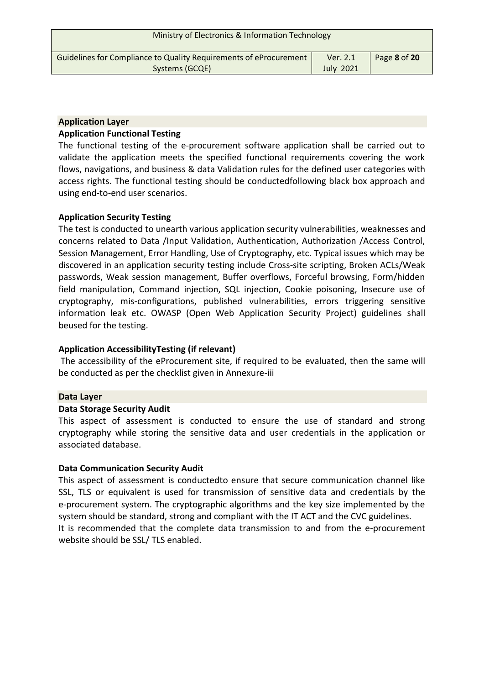| Ministry of Electronics & Information Technology                                    |                              |              |
|-------------------------------------------------------------------------------------|------------------------------|--------------|
| Guidelines for Compliance to Quality Requirements of eProcurement<br>Systems (GCQE) | Ver. 2.1<br><b>July 2021</b> | Page 8 of 20 |
|                                                                                     |                              |              |

## **Application Layer**

#### **Application Functional Testing**

The functional testing of the e‐procurement software application shall be carried out to validate the application meets the specified functional requirements covering the work flows, navigations, and business & data Validation rules for the defined user categories with access rights. The functional testing should be conductedfollowing black box approach and using end‐to‐end user scenarios.

## **Application Security Testing**

The test is conducted to unearth various application security vulnerabilities, weaknesses and concerns related to Data /Input Validation, Authentication, Authorization /Access Control, Session Management, Error Handling, Use of Cryptography, etc. Typical issues which may be discovered in an application security testing include Cross‐site scripting, Broken ACLs/Weak passwords, Weak session management, Buffer overflows, Forceful browsing, Form/hidden field manipulation, Command injection, SQL injection, Cookie poisoning, Insecure use of cryptography, mis‐configurations, published vulnerabilities, errors triggering sensitive information leak etc. OWASP (Open Web Application Security Project) guidelines shall beused for the testing.

#### **Application AccessibilityTesting (if relevant)**

The accessibility of the eProcurement site, if required to be evaluated, then the same will be conducted as per the checklist given in Annexure-iii

#### **Data Layer**

#### **Data Storage Security Audit**

This aspect of assessment is conducted to ensure the use of standard and strong cryptography while storing the sensitive data and user credentials in the application or associated database.

#### **Data Communication Security Audit**

This aspect of assessment is conductedto ensure that secure communication channel like SSL, TLS or equivalent is used for transmission of sensitive data and credentials by the e‐procurement system. The cryptographic algorithms and the key size implemented by the system should be standard, strong and compliant with the IT ACT and the CVC guidelines. It is recommended that the complete data transmission to and from the e‐procurement website should be SSL/ TLS enabled.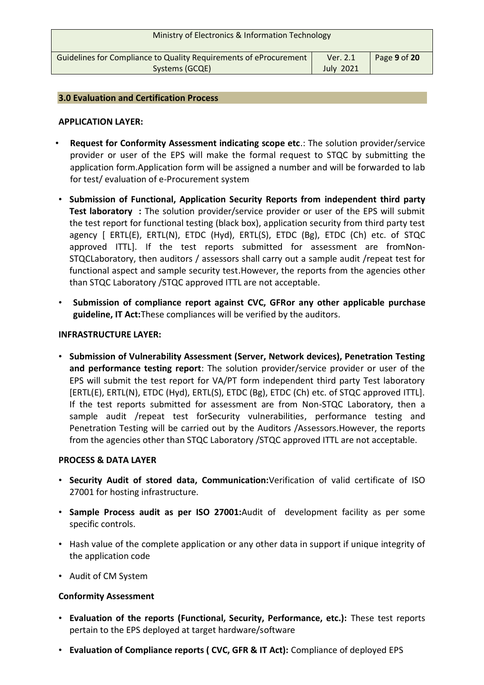| Ministry of Electronics & Information Technology                  |                  |              |
|-------------------------------------------------------------------|------------------|--------------|
| Guidelines for Compliance to Quality Requirements of eProcurement | Ver. 2.1         | Page 9 of 20 |
| Systems (GCQE)                                                    | <b>July 2021</b> |              |
|                                                                   |                  |              |

#### **3.0 Evaluation and Certification Process**

#### **APPLICATION LAYER:**

- **Request for Conformity Assessment indicating scope etc**.: The solution provider/service provider or user of the EPS will make the formal request to STQC by submitting the application form.Application form will be assigned a number and will be forwarded to lab for test/ evaluation of e-Procurement system
- **Submission of Functional, Application Security Reports from independent third party Test laboratory :** The solution provider/service provider or user of the EPS will submit the test report for functional testing (black box), application security from third party test agency [ ERTL(E), ERTL(N), ETDC (Hyd), ERTL(S), ETDC (Bg), ETDC (Ch) etc. of STQC approved ITTL]. If the test reports submitted for assessment are fromNon-STQCLaboratory, then auditors / assessors shall carry out a sample audit /repeat test for functional aspect and sample security test.However, the reports from the agencies other than STQC Laboratory /STQC approved ITTL are not acceptable.
- **Submission of compliance report against CVC, GFRor any other applicable purchase guideline, IT Act:**These compliances will be verified by the auditors.

#### **INFRASTRUCTURE LAYER:**

• **Submission of Vulnerability Assessment (Server, Network devices), Penetration Testing and performance testing report**: The solution provider/service provider or user of the EPS will submit the test report for VA/PT form independent third party Test laboratory [ERTL(E), ERTL(N), ETDC (Hyd), ERTL(S), ETDC (Bg), ETDC (Ch) etc. of STQC approved ITTL]. If the test reports submitted for assessment are from Non-STQC Laboratory, then a sample audit /repeat test forSecurity vulnerabilities, performance testing and Penetration Testing will be carried out by the Auditors /Assessors.However, the reports from the agencies other than STQC Laboratory /STQC approved ITTL are not acceptable.

#### **PROCESS & DATA LAYER**

- **Security Audit of stored data, Communication:**Verification of valid certificate of ISO 27001 for hosting infrastructure.
- **Sample Process audit as per ISO 27001:**Audit of development facility as per some specific controls.
- Hash value of the complete application or any other data in support if unique integrity of the application code
- Audit of CM System

# **Conformity Assessment**

- **Evaluation of the reports (Functional, Security, Performance, etc.):** These test reports pertain to the EPS deployed at target hardware/software
- **Evaluation of Compliance reports ( CVC, GFR & IT Act):** Compliance of deployed EPS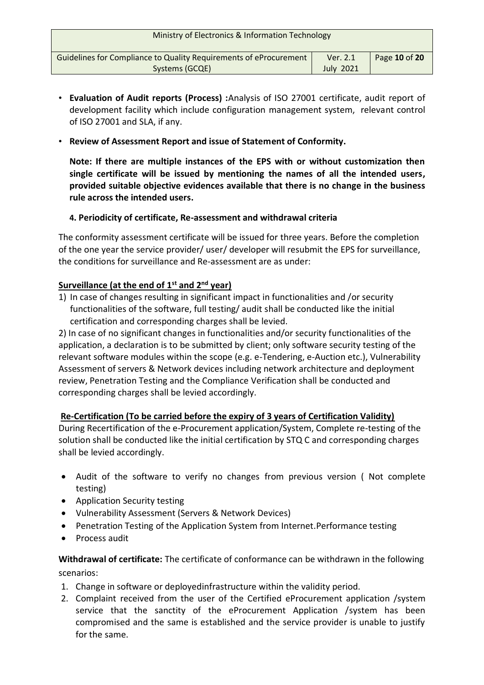| Ministry of Electronics & Information Technology                                    |                              |               |
|-------------------------------------------------------------------------------------|------------------------------|---------------|
| Guidelines for Compliance to Quality Requirements of eProcurement<br>Systems (GCQE) | Ver. 2.1<br><b>July 2021</b> | Page 10 of 20 |

- **Evaluation of Audit reports (Process) :**Analysis of ISO 27001 certificate, audit report of development facility which include configuration management system, relevant control of ISO 27001 and SLA, if any.
- **Review of Assessment Report and issue of Statement of Conformity.**

**Note: If there are multiple instances of the EPS with or without customization then single certificate will be issued by mentioning the names of all the intended users, provided suitable objective evidences available that there is no change in the business rule across the intended users.**

# **4. Periodicity of certificate, Re-assessment and withdrawal criteria**

The conformity assessment certificate will be issued for three years. Before the completion of the one year the service provider/ user/ developer will resubmit the EPS for surveillance, the conditions for surveillance and Re-assessment are as under:

# **Surveillance (at the end of 1st and 2nd year)**

1) In case of changes resulting in significant impact in functionalities and /or security functionalities of the software, full testing/ audit shall be conducted like the initial certification and corresponding charges shall be levied.

2) In case of no significant changes in functionalities and/or security functionalities of the application, a declaration is to be submitted by client; only software security testing of the relevant software modules within the scope (e.g. e-Tendering, e-Auction etc.), Vulnerability Assessment of servers & Network devices including network architecture and deployment review, Penetration Testing and the Compliance Verification shall be conducted and corresponding charges shall be levied accordingly.

# **Re-Certification (To be carried before the expiry of 3 years of Certification Validity)**

During Recertification of the e-Procurement application/System, Complete re-testing of the solution shall be conducted like the initial certification by STQ C and corresponding charges shall be levied accordingly.

- Audit of the software to verify no changes from previous version ( Not complete testing)
- Application Security testing
- Vulnerability Assessment (Servers & Network Devices)
- Penetration Testing of the Application System from Internet.Performance testing
- Process audit

**Withdrawal of certificate:** The certificate of conformance can be withdrawn in the following scenarios:

- 1. Change in software or deployedinfrastructure within the validity period.
- 2. Complaint received from the user of the Certified eProcurement application /system service that the sanctity of the eProcurement Application /system has been compromised and the same is established and the service provider is unable to justify for the same.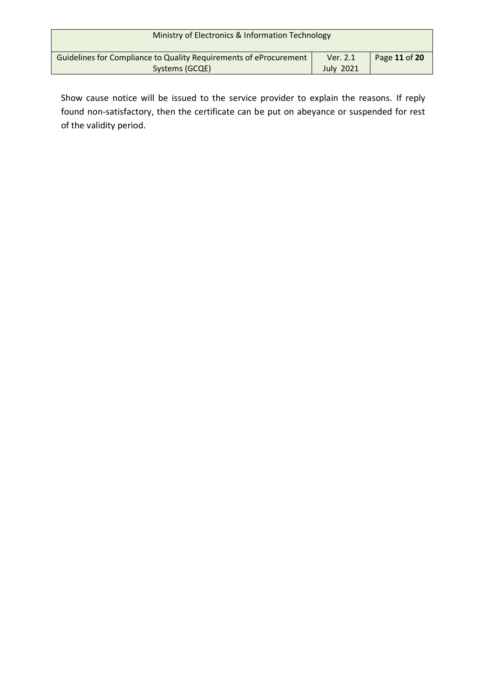| Ministry of Electronics & Information Technology                                    |                              |               |
|-------------------------------------------------------------------------------------|------------------------------|---------------|
| Guidelines for Compliance to Quality Requirements of eProcurement<br>Systems (GCQE) | Ver. 2.1<br><b>July 2021</b> | Page 11 of 20 |

Show cause notice will be issued to the service provider to explain the reasons. If reply found non-satisfactory, then the certificate can be put on abeyance or suspended for rest of the validity period.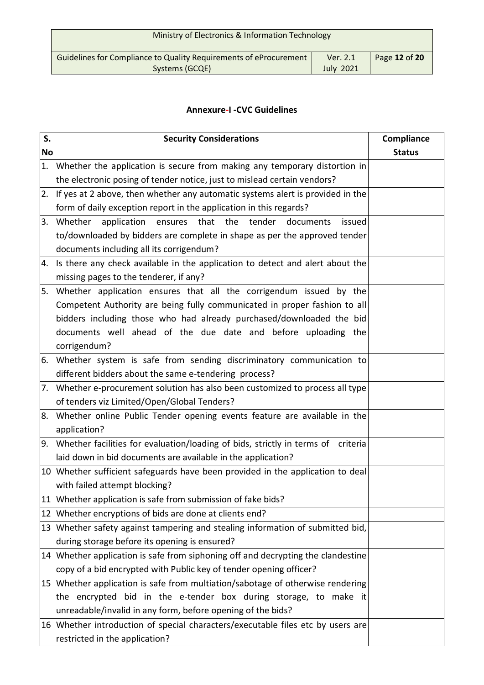| Ministry of Electronics & Information Technology                                    |                              |               |
|-------------------------------------------------------------------------------------|------------------------------|---------------|
| Guidelines for Compliance to Quality Requirements of eProcurement<br>Systems (GCQE) | Ver. 2.1<br><b>July 2021</b> | Page 12 of 20 |

# **Annexure‐I ‐CVC Guidelines**

| S.        | <b>Security Considerations</b>                                                                                                                 | Compliance    |
|-----------|------------------------------------------------------------------------------------------------------------------------------------------------|---------------|
| <b>No</b> |                                                                                                                                                | <b>Status</b> |
| 1.        | Whether the application is secure from making any temporary distortion in                                                                      |               |
|           | the electronic posing of tender notice, just to mislead certain vendors?                                                                       |               |
| 2.        | If yes at 2 above, then whether any automatic systems alert is provided in the                                                                 |               |
|           | form of daily exception report in the application in this regards?                                                                             |               |
| 3.        | Whether<br>application<br>ensures that the tender<br>documents<br>issued                                                                       |               |
|           | to/downloaded by bidders are complete in shape as per the approved tender                                                                      |               |
|           | documents including all its corrigendum?                                                                                                       |               |
| 4.        | Its there any check available in the application to detect and alert about the                                                                 |               |
|           | missing pages to the tenderer, if any?                                                                                                         |               |
| 5.        | Whether application ensures that all the corrigendum issued by the                                                                             |               |
|           | Competent Authority are being fully communicated in proper fashion to all                                                                      |               |
|           | bidders including those who had already purchased/downloaded the bid                                                                           |               |
|           | documents well ahead of the due date and before uploading the                                                                                  |               |
|           | corrigendum?                                                                                                                                   |               |
| 6.        | Whether system is safe from sending discriminatory communication to                                                                            |               |
|           | different bidders about the same e-tendering process?                                                                                          |               |
| 7.        | Whether e-procurement solution has also been customized to process all type                                                                    |               |
|           | of tenders viz Limited/Open/Global Tenders?                                                                                                    |               |
| 8.        | Whether online Public Tender opening events feature are available in the                                                                       |               |
|           | application?                                                                                                                                   |               |
| 9.        | Whether facilities for evaluation/loading of bids, strictly in terms of criteria                                                               |               |
|           | laid down in bid documents are available in the application?<br>10 Whether sufficient safeguards have been provided in the application to deal |               |
|           | with failed attempt blocking?                                                                                                                  |               |
|           | 11 Whether application is safe from submission of fake bids?                                                                                   |               |
|           | 12 Whether encryptions of bids are done at clients end?                                                                                        |               |
|           | 13 Whether safety against tampering and stealing information of submitted bid,                                                                 |               |
|           | during storage before its opening is ensured?                                                                                                  |               |
|           | 14 Whether application is safe from siphoning off and decrypting the clandestine                                                               |               |
|           | copy of a bid encrypted with Public key of tender opening officer?                                                                             |               |
|           | 15 Whether application is safe from multiation/sabotage of otherwise rendering                                                                 |               |
|           | the encrypted bid in the e-tender box during storage, to make it                                                                               |               |
|           | unreadable/invalid in any form, before opening of the bids?                                                                                    |               |
|           | 16 Whether introduction of special characters/executable files etc by users are                                                                |               |
|           | restricted in the application?                                                                                                                 |               |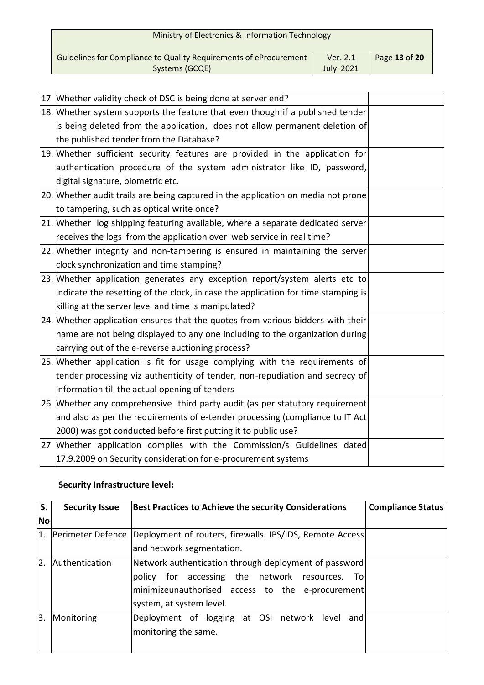| Ministry of Electronics & Information Technology                                    |                              |               |
|-------------------------------------------------------------------------------------|------------------------------|---------------|
| Guidelines for Compliance to Quality Requirements of eProcurement<br>Systems (GCQE) | Ver. 2.1<br><b>July 2021</b> | Page 13 of 20 |

| 17 Whether validity check of DSC is being done at server end?                     |  |
|-----------------------------------------------------------------------------------|--|
| 18. Whether system supports the feature that even though if a published tender    |  |
| is being deleted from the application, does not allow permanent deletion of       |  |
| the published tender from the Database?                                           |  |
| 19. Whether sufficient security features are provided in the application for      |  |
| authentication procedure of the system administrator like ID, password,           |  |
| digital signature, biometric etc.                                                 |  |
| 20. Whether audit trails are being captured in the application on media not prone |  |
| to tampering, such as optical write once?                                         |  |
| 21. Whether log shipping featuring available, where a separate dedicated server   |  |
| receives the logs from the application over web service in real time?             |  |
| 22. Whether integrity and non-tampering is ensured in maintaining the server      |  |
| clock synchronization and time stamping?                                          |  |
| 23. Whether application generates any exception report/system alerts etc to       |  |
| indicate the resetting of the clock, in case the application for time stamping is |  |
| killing at the server level and time is manipulated?                              |  |
| 24. Whether application ensures that the quotes from various bidders with their   |  |
| name are not being displayed to any one including to the organization during      |  |
| carrying out of the e-reverse auctioning process?                                 |  |
| 25. Whether application is fit for usage complying with the requirements of       |  |
| tender processing viz authenticity of tender, non-repudiation and secrecy of      |  |
| information till the actual opening of tenders                                    |  |
| 26 Whether any comprehensive third party audit (as per statutory requirement      |  |
| and also as per the requirements of e-tender processing (compliance to IT Act     |  |
| 2000) was got conducted before first putting it to public use?                    |  |
| 27 Whether application complies with the Commission/s Guidelines dated            |  |
| 17.9.2009 on Security consideration for e-procurement systems                     |  |

# **Security Infrastructure level:**

| S. | <b>Security Issue</b> | <b>Best Practices to Achieve the security Considerations</b> | <b>Compliance Status</b> |
|----|-----------------------|--------------------------------------------------------------|--------------------------|
| No |                       |                                                              |                          |
| 1. | Perimeter Defence     | Deployment of routers, firewalls. IPS/IDS, Remote Access     |                          |
|    |                       | and network segmentation.                                    |                          |
| 2. | Authentication        | Network authentication through deployment of password        |                          |
|    |                       | policy for accessing the network resources. To               |                          |
|    |                       | minimizeunauthorised access to the e-procurement             |                          |
|    |                       | system, at system level.                                     |                          |
| Β. | Monitoring            | Deployment of logging at OSI network level<br>andl           |                          |
|    |                       | monitoring the same.                                         |                          |
|    |                       |                                                              |                          |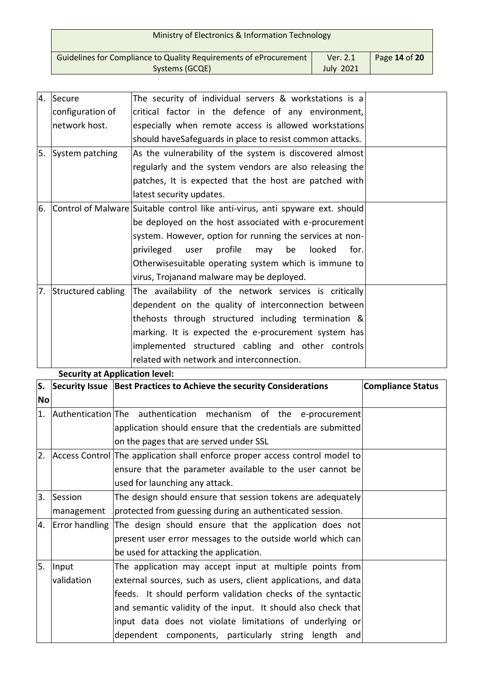| Ministry of Electronics & Information Technology                                    |                              |               |
|-------------------------------------------------------------------------------------|------------------------------|---------------|
| Guidelines for Compliance to Quality Requirements of eProcurement<br>Systems (GCQE) | Ver. 2.1<br><b>July 2021</b> | Page 14 of 20 |

| Ι4. | Secure             | The security of individual servers & workstations is a                        |  |
|-----|--------------------|-------------------------------------------------------------------------------|--|
|     | configuration of   | critical factor in the defence of any environment,                            |  |
|     | network host.      | especially when remote access is allowed workstations                         |  |
|     |                    | should haveSafeguards in place to resist common attacks.                      |  |
| 5.  | System patching    | As the vulnerability of the system is discovered almost                       |  |
|     |                    | regularly and the system vendors are also releasing the                       |  |
|     |                    | patches, It is expected that the host are patched with                        |  |
|     |                    | latest security updates.                                                      |  |
| 6.  |                    | Control of Malware Suitable control like anti-virus, anti spyware ext. should |  |
|     |                    | be deployed on the host associated with e-procurement                         |  |
|     |                    | system. However, option for running the services at non-                      |  |
|     |                    | be<br>privileged<br>profile<br>looked<br>user<br>may<br>for.                  |  |
|     |                    | Otherwisesuitable operating system which is immune to                         |  |
|     |                    | virus, Trojanand malware may be deployed.                                     |  |
| 7.  | Structured cabling | The availability of the network services is critically                        |  |
|     |                    | dependent on the quality of interconnection between                           |  |
|     |                    | thehosts through structured including termination &                           |  |
|     |                    | marking. It is expected the e-procurement system has                          |  |
|     |                    | implemented structured cabling and other controls                             |  |
|     |                    | related with network and interconnection.                                     |  |

#### **Security at Application level:**

| S.        |            | Security Issue Best Practices to Achieve the security Considerations        | <b>Compliance Status</b> |
|-----------|------------|-----------------------------------------------------------------------------|--------------------------|
| <b>No</b> |            |                                                                             |                          |
| 1.        |            | Authentication The authentication mechanism of the e-procurement            |                          |
|           |            | application should ensure that the credentials are submitted                |                          |
|           |            | on the pages that are served under SSL                                      |                          |
| 2.        |            | Access Control The application shall enforce proper access control model to |                          |
|           |            | ensure that the parameter available to the user cannot be                   |                          |
|           |            | used for launching any attack.                                              |                          |
| 3.        | Session    | The design should ensure that session tokens are adequately                 |                          |
|           | management | protected from guessing during an authenticated session.                    |                          |
| 4.        |            | Error handling The design should ensure that the application does not       |                          |
|           |            | present user error messages to the outside world which can                  |                          |
|           |            | be used for attacking the application.                                      |                          |
| 5.        | Input      | The application may accept input at multiple points from                    |                          |
|           | validation | external sources, such as users, client applications, and data              |                          |
|           |            | feeds. It should perform validation checks of the syntactic                 |                          |
|           |            | and semantic validity of the input. It should also check that               |                          |
|           |            | input data does not violate limitations of underlying or                    |                          |
|           |            | dependent components, particularly string length and                        |                          |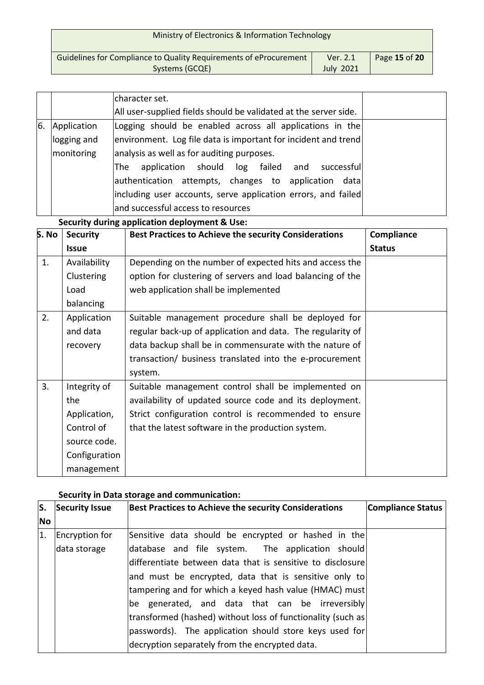| Ministry of Electronics & Information Technology                                    |                              |               |
|-------------------------------------------------------------------------------------|------------------------------|---------------|
| Guidelines for Compliance to Quality Requirements of eProcurement<br>Systems (GCQE) | Ver. 2.1<br><b>July 2021</b> | Page 15 of 20 |
|                                                                                     |                              |               |

|    |             | character set.                                                   |  |
|----|-------------|------------------------------------------------------------------|--|
|    |             | All user-supplied fields should be validated at the server side. |  |
| 6. | Application | Logging should be enabled across all applications in the         |  |
|    | logging and | environment. Log file data is important for incident and trend   |  |
|    | monitoring  | analysis as well as for auditing purposes.                       |  |
|    |             | The application should log failed and successful                 |  |
|    |             | authentication attempts, changes to application data             |  |
|    |             | including user accounts, serve application errors, and failed    |  |
|    |             | and successful access to resources                               |  |

**Security during application deployment & Use:**

| S. No | <b>Security</b> | <b>Best Practices to Achieve the security Considerations</b> | Compliance    |
|-------|-----------------|--------------------------------------------------------------|---------------|
|       | <b>Issue</b>    |                                                              | <b>Status</b> |
| 1.    | Availability    | Depending on the number of expected hits and access the      |               |
|       | Clustering      | option for clustering of servers and load balancing of the   |               |
|       | Load            | web application shall be implemented                         |               |
|       | balancing       |                                                              |               |
| 2.    | Application     | Suitable management procedure shall be deployed for          |               |
|       | and data        | regular back-up of application and data. The regularity of   |               |
|       | recovery        | data backup shall be in commensurate with the nature of      |               |
|       |                 | transaction/ business translated into the e-procurement      |               |
|       |                 | system.                                                      |               |
| 3.    | Integrity of    | Suitable management control shall be implemented on          |               |
|       | the             | availability of updated source code and its deployment.      |               |
|       | Application,    | Strict configuration control is recommended to ensure        |               |
|       | Control of      | that the latest software in the production system.           |               |
|       | source code.    |                                                              |               |
|       | Configuration   |                                                              |               |
|       | management      |                                                              |               |

# **Security in Data storage and communication:**

| lS.              | Security Issue | <b>Best Practices to Achieve the security Considerations</b> | <b>Compliance Status</b> |
|------------------|----------------|--------------------------------------------------------------|--------------------------|
| <b>No</b>        |                |                                                              |                          |
| $\overline{1}$ . | Encryption for | Sensitive data should be encrypted or hashed in the          |                          |
|                  | data storage   | database and file system. The application should             |                          |
|                  |                | ldifferentiate between data that is sensitive to disclosure  |                          |
|                  |                | and must be encrypted, data that is sensitive only to        |                          |
|                  |                | tampering and for which a keyed hash value (HMAC) must       |                          |
|                  |                | be generated, and data that can be irreversibly              |                          |
|                  |                | transformed (hashed) without loss of functionality (such as  |                          |
|                  |                | passwords). The application should store keys used for       |                          |
|                  |                | decryption separately from the encrypted data.               |                          |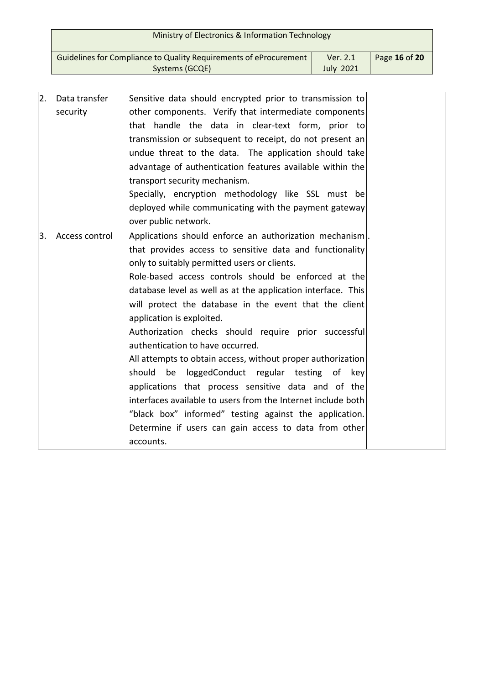| Ministry of Electronics & Information Technology                                    |                              |               |
|-------------------------------------------------------------------------------------|------------------------------|---------------|
| Guidelines for Compliance to Quality Requirements of eProcurement<br>Systems (GCQE) | Ver. 2.1<br><b>July 2021</b> | Page 16 of 20 |

| Data transfer  |                                                          |                                                                                                                                                                                                                                                                                                                                                                                                                                                                                                                                                                                                                                                                                                                                                                                                                                                                                                                                                                                                                      |
|----------------|----------------------------------------------------------|----------------------------------------------------------------------------------------------------------------------------------------------------------------------------------------------------------------------------------------------------------------------------------------------------------------------------------------------------------------------------------------------------------------------------------------------------------------------------------------------------------------------------------------------------------------------------------------------------------------------------------------------------------------------------------------------------------------------------------------------------------------------------------------------------------------------------------------------------------------------------------------------------------------------------------------------------------------------------------------------------------------------|
| security       |                                                          |                                                                                                                                                                                                                                                                                                                                                                                                                                                                                                                                                                                                                                                                                                                                                                                                                                                                                                                                                                                                                      |
|                |                                                          |                                                                                                                                                                                                                                                                                                                                                                                                                                                                                                                                                                                                                                                                                                                                                                                                                                                                                                                                                                                                                      |
|                |                                                          |                                                                                                                                                                                                                                                                                                                                                                                                                                                                                                                                                                                                                                                                                                                                                                                                                                                                                                                                                                                                                      |
|                |                                                          |                                                                                                                                                                                                                                                                                                                                                                                                                                                                                                                                                                                                                                                                                                                                                                                                                                                                                                                                                                                                                      |
|                |                                                          |                                                                                                                                                                                                                                                                                                                                                                                                                                                                                                                                                                                                                                                                                                                                                                                                                                                                                                                                                                                                                      |
|                | transport security mechanism.                            |                                                                                                                                                                                                                                                                                                                                                                                                                                                                                                                                                                                                                                                                                                                                                                                                                                                                                                                                                                                                                      |
|                |                                                          |                                                                                                                                                                                                                                                                                                                                                                                                                                                                                                                                                                                                                                                                                                                                                                                                                                                                                                                                                                                                                      |
|                |                                                          |                                                                                                                                                                                                                                                                                                                                                                                                                                                                                                                                                                                                                                                                                                                                                                                                                                                                                                                                                                                                                      |
|                | over public network.                                     |                                                                                                                                                                                                                                                                                                                                                                                                                                                                                                                                                                                                                                                                                                                                                                                                                                                                                                                                                                                                                      |
| Access control |                                                          |                                                                                                                                                                                                                                                                                                                                                                                                                                                                                                                                                                                                                                                                                                                                                                                                                                                                                                                                                                                                                      |
|                | that provides access to sensitive data and functionality |                                                                                                                                                                                                                                                                                                                                                                                                                                                                                                                                                                                                                                                                                                                                                                                                                                                                                                                                                                                                                      |
|                | only to suitably permitted users or clients.             |                                                                                                                                                                                                                                                                                                                                                                                                                                                                                                                                                                                                                                                                                                                                                                                                                                                                                                                                                                                                                      |
|                |                                                          |                                                                                                                                                                                                                                                                                                                                                                                                                                                                                                                                                                                                                                                                                                                                                                                                                                                                                                                                                                                                                      |
|                |                                                          |                                                                                                                                                                                                                                                                                                                                                                                                                                                                                                                                                                                                                                                                                                                                                                                                                                                                                                                                                                                                                      |
|                |                                                          |                                                                                                                                                                                                                                                                                                                                                                                                                                                                                                                                                                                                                                                                                                                                                                                                                                                                                                                                                                                                                      |
|                | application is exploited.                                |                                                                                                                                                                                                                                                                                                                                                                                                                                                                                                                                                                                                                                                                                                                                                                                                                                                                                                                                                                                                                      |
|                |                                                          |                                                                                                                                                                                                                                                                                                                                                                                                                                                                                                                                                                                                                                                                                                                                                                                                                                                                                                                                                                                                                      |
|                | authentication to have occurred.                         |                                                                                                                                                                                                                                                                                                                                                                                                                                                                                                                                                                                                                                                                                                                                                                                                                                                                                                                                                                                                                      |
|                |                                                          |                                                                                                                                                                                                                                                                                                                                                                                                                                                                                                                                                                                                                                                                                                                                                                                                                                                                                                                                                                                                                      |
|                |                                                          |                                                                                                                                                                                                                                                                                                                                                                                                                                                                                                                                                                                                                                                                                                                                                                                                                                                                                                                                                                                                                      |
|                |                                                          |                                                                                                                                                                                                                                                                                                                                                                                                                                                                                                                                                                                                                                                                                                                                                                                                                                                                                                                                                                                                                      |
|                |                                                          |                                                                                                                                                                                                                                                                                                                                                                                                                                                                                                                                                                                                                                                                                                                                                                                                                                                                                                                                                                                                                      |
|                | "black box" informed" testing against the application.   |                                                                                                                                                                                                                                                                                                                                                                                                                                                                                                                                                                                                                                                                                                                                                                                                                                                                                                                                                                                                                      |
|                | Determine if users can gain access to data from other    |                                                                                                                                                                                                                                                                                                                                                                                                                                                                                                                                                                                                                                                                                                                                                                                                                                                                                                                                                                                                                      |
|                | accounts.                                                |                                                                                                                                                                                                                                                                                                                                                                                                                                                                                                                                                                                                                                                                                                                                                                                                                                                                                                                                                                                                                      |
|                |                                                          | Sensitive data should encrypted prior to transmission to<br>other components. Verify that intermediate components<br>that handle the data in clear-text form, prior to<br>transmission or subsequent to receipt, do not present an<br>undue threat to the data. The application should take<br>advantage of authentication features available within the<br>Specially, encryption methodology like SSL must be<br>deployed while communicating with the payment gateway<br>Applications should enforce an authorization mechanism.<br>Role-based access controls should be enforced at the<br>database level as well as at the application interface. This<br>will protect the database in the event that the client<br>Authorization checks should require prior successful<br>All attempts to obtain access, without proper authorization<br>should be loggedConduct regular testing of key<br>applications that process sensitive data and of the<br>interfaces available to users from the Internet include both |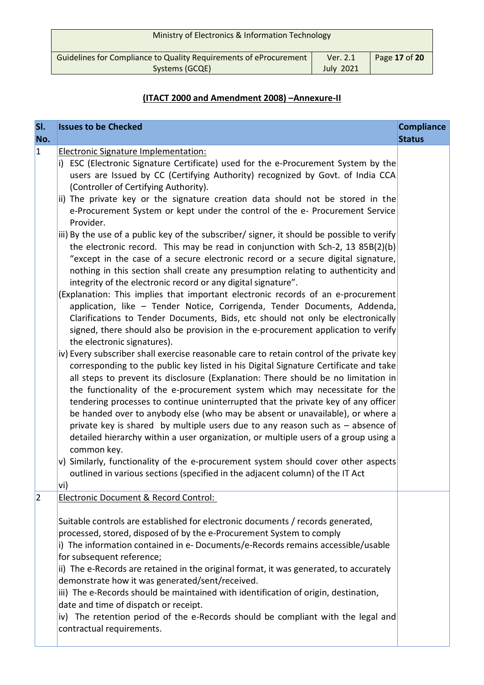| Ministry of Electronics & Information Technology                  |                  |               |
|-------------------------------------------------------------------|------------------|---------------|
| Guidelines for Compliance to Quality Requirements of eProcurement | Ver. 2.1         | Page 17 of 20 |
| Systems (GCQE)                                                    | <b>July 2021</b> |               |

# **(ITACT 2000 and Amendment 2008) –Annexure-II**

| SI.<br>No.  | <b>Issues to be Checked</b>                                                                                                                                                                                                                                                                                                                                                                                                                                                                                                                                                                                                                                                                                                                                                                                                                                                                                                                                                                                                                                                                                                                                                                                                                                                                                                                                                                                                                                                                                                                                                                                                                                                                                                                                                                                                                                                                                                                                                                                                                                                                                                                    | <b>Compliance</b><br><b>Status</b> |
|-------------|------------------------------------------------------------------------------------------------------------------------------------------------------------------------------------------------------------------------------------------------------------------------------------------------------------------------------------------------------------------------------------------------------------------------------------------------------------------------------------------------------------------------------------------------------------------------------------------------------------------------------------------------------------------------------------------------------------------------------------------------------------------------------------------------------------------------------------------------------------------------------------------------------------------------------------------------------------------------------------------------------------------------------------------------------------------------------------------------------------------------------------------------------------------------------------------------------------------------------------------------------------------------------------------------------------------------------------------------------------------------------------------------------------------------------------------------------------------------------------------------------------------------------------------------------------------------------------------------------------------------------------------------------------------------------------------------------------------------------------------------------------------------------------------------------------------------------------------------------------------------------------------------------------------------------------------------------------------------------------------------------------------------------------------------------------------------------------------------------------------------------------------------|------------------------------------|
| $\vert$ 1   | Electronic Signature Implementation:<br>i) ESC (Electronic Signature Certificate) used for the e-Procurement System by the<br>users are Issued by CC (Certifying Authority) recognized by Govt. of India CCA<br>(Controller of Certifying Authority).<br>ii) The private key or the signature creation data should not be stored in the<br>e-Procurement System or kept under the control of the e- Procurement Service<br>Provider.<br>iii) By the use of a public key of the subscriber/ signer, it should be possible to verify<br>the electronic record. This may be read in conjunction with Sch-2, 13 85B(2)(b)<br>"except in the case of a secure electronic record or a secure digital signature,<br>nothing in this section shall create any presumption relating to authenticity and<br>integrity of the electronic record or any digital signature".<br>(Explanation: This implies that important electronic records of an e-procurement<br>application, like - Tender Notice, Corrigenda, Tender Documents, Addenda,<br>Clarifications to Tender Documents, Bids, etc should not only be electronically<br>signed, there should also be provision in the e-procurement application to verify<br>the electronic signatures).<br>iv) Every subscriber shall exercise reasonable care to retain control of the private key<br>corresponding to the public key listed in his Digital Signature Certificate and take<br>all steps to prevent its disclosure (Explanation: There should be no limitation in<br>the functionality of the e-procurement system which may necessitate for the<br>tendering processes to continue uninterrupted that the private key of any officer<br>be handed over to anybody else (who may be absent or unavailable), or where a<br>private key is shared by multiple users due to any reason such as $-$ absence of<br>detailed hierarchy within a user organization, or multiple users of a group using a<br>common key.<br>v) Similarly, functionality of the e-procurement system should cover other aspects<br>outlined in various sections (specified in the adjacent column) of the IT Act<br>vi) |                                    |
| $ 2\rangle$ | Electronic Document & Record Control:<br>Suitable controls are established for electronic documents / records generated,<br>processed, stored, disposed of by the e-Procurement System to comply<br>i) The information contained in e- Documents/e-Records remains accessible/usable<br>for subsequent reference;<br>ii) The e-Records are retained in the original format, it was generated, to accurately<br>demonstrate how it was generated/sent/received.<br>iii) The e-Records should be maintained with identification of origin, destination,<br>date and time of dispatch or receipt.<br>iv) The retention period of the e-Records should be compliant with the legal and<br>contractual requirements.                                                                                                                                                                                                                                                                                                                                                                                                                                                                                                                                                                                                                                                                                                                                                                                                                                                                                                                                                                                                                                                                                                                                                                                                                                                                                                                                                                                                                                |                                    |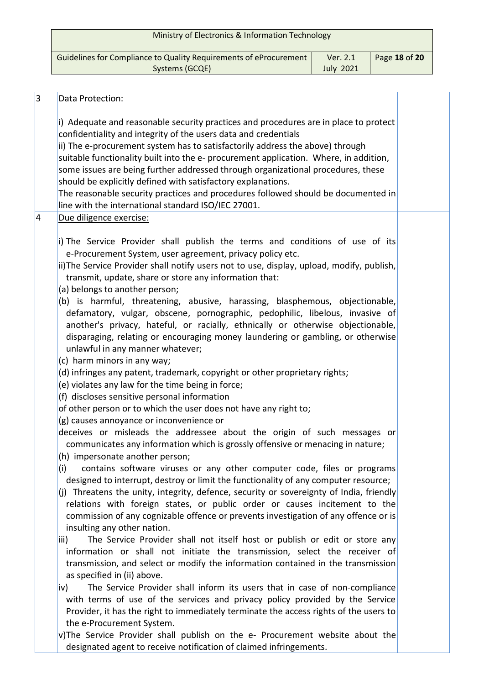| Ministry of Electronics & Information Technology                  |                  |               |
|-------------------------------------------------------------------|------------------|---------------|
| Guidelines for Compliance to Quality Requirements of eProcurement | Ver. 2.1         | Page 18 of 20 |
| Systems (GCQE)                                                    | <b>July 2021</b> |               |
|                                                                   |                  |               |

| 3 | Data Protection:                                                                                                                                                                                                                                                                                                                                                                                                                                                                                                                                                                                                                  |  |
|---|-----------------------------------------------------------------------------------------------------------------------------------------------------------------------------------------------------------------------------------------------------------------------------------------------------------------------------------------------------------------------------------------------------------------------------------------------------------------------------------------------------------------------------------------------------------------------------------------------------------------------------------|--|
|   | i) Adequate and reasonable security practices and procedures are in place to protect<br>confidentiality and integrity of the users data and credentials<br>ii) The e-procurement system has to satisfactorily address the above) through<br>suitable functionality built into the e- procurement application. Where, in addition,<br>some issues are being further addressed through organizational procedures, these<br>should be explicitly defined with satisfactory explanations.<br>The reasonable security practices and procedures followed should be documented in<br>line with the international standard ISO/IEC 27001. |  |
| 4 | Due diligence exercise:                                                                                                                                                                                                                                                                                                                                                                                                                                                                                                                                                                                                           |  |
|   | i) The Service Provider shall publish the terms and conditions of use of its<br>e-Procurement System, user agreement, privacy policy etc.<br>ii) The Service Provider shall notify users not to use, display, upload, modify, publish,<br>transmit, update, share or store any information that:<br>(a) belongs to another person;                                                                                                                                                                                                                                                                                                |  |
|   | (b) is harmful, threatening, abusive, harassing, blasphemous, objectionable,<br>defamatory, vulgar, obscene, pornographic, pedophilic, libelous, invasive of<br>another's privacy, hateful, or racially, ethnically or otherwise objectionable,<br>disparaging, relating or encouraging money laundering or gambling, or otherwise<br>unlawful in any manner whatever;                                                                                                                                                                                                                                                            |  |
|   | (c) harm minors in any way;<br>(d) infringes any patent, trademark, copyright or other proprietary rights;                                                                                                                                                                                                                                                                                                                                                                                                                                                                                                                        |  |
|   | (e) violates any law for the time being in force;<br>(f) discloses sensitive personal information                                                                                                                                                                                                                                                                                                                                                                                                                                                                                                                                 |  |
|   | of other person or to which the user does not have any right to;                                                                                                                                                                                                                                                                                                                                                                                                                                                                                                                                                                  |  |
|   | (g) causes annoyance or inconvenience or<br>deceives or misleads the addressee about the origin of such messages or<br>communicates any information which is grossly offensive or menacing in nature;<br>(h) impersonate another person;                                                                                                                                                                                                                                                                                                                                                                                          |  |
|   | contains software viruses or any other computer code, files or programs<br>(i)                                                                                                                                                                                                                                                                                                                                                                                                                                                                                                                                                    |  |
|   | designed to interrupt, destroy or limit the functionality of any computer resource;<br>(j) Threatens the unity, integrity, defence, security or sovereignty of India, friendly<br>relations with foreign states, or public order or causes incitement to the<br>commission of any cognizable offence or prevents investigation of any offence or is<br>insulting any other nation.                                                                                                                                                                                                                                                |  |
|   | The Service Provider shall not itself host or publish or edit or store any<br>iii)<br>information or shall not initiate the transmission, select the receiver of<br>transmission, and select or modify the information contained in the transmission<br>as specified in (ii) above.                                                                                                                                                                                                                                                                                                                                               |  |
|   | The Service Provider shall inform its users that in case of non-compliance<br>iv)<br>with terms of use of the services and privacy policy provided by the Service<br>Provider, it has the right to immediately terminate the access rights of the users to<br>the e-Procurement System.                                                                                                                                                                                                                                                                                                                                           |  |
|   | v)The Service Provider shall publish on the e- Procurement website about the<br>designated agent to receive notification of claimed infringements.                                                                                                                                                                                                                                                                                                                                                                                                                                                                                |  |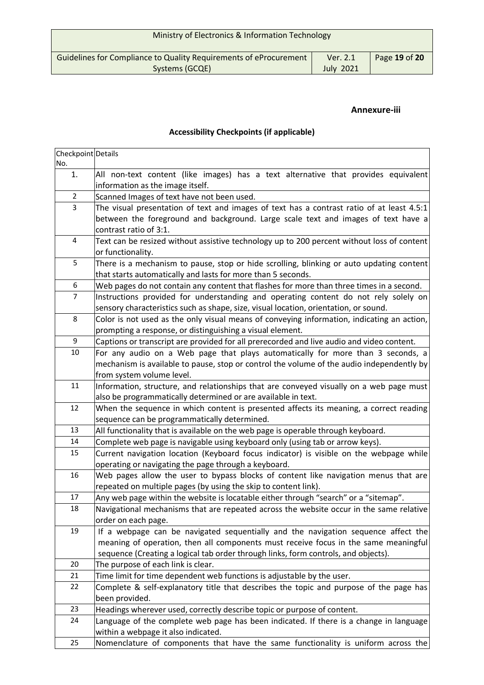| Ministry of Electronics & Information Technology |               |
|--------------------------------------------------|---------------|
| Ver. 2.1<br><b>July 2021</b>                     | Page 19 of 20 |
|                                                  |               |

# **Annexure-iii**

# **Accessibility Checkpoints (if applicable)**

| Checkpoint Details |                                                                                                                               |
|--------------------|-------------------------------------------------------------------------------------------------------------------------------|
| No.                |                                                                                                                               |
| 1.                 | All non-text content (like images) has a text alternative that provides equivalent<br>information as the image itself.        |
| $\overline{2}$     | Scanned Images of text have not been used.                                                                                    |
| $\overline{3}$     | The visual presentation of text and images of text has a contrast ratio of at least 4.5:1                                     |
|                    | between the foreground and background. Large scale text and images of text have a                                             |
|                    | contrast ratio of 3:1.                                                                                                        |
| 4                  | Text can be resized without assistive technology up to 200 percent without loss of content                                    |
|                    | or functionality.                                                                                                             |
| 5                  | There is a mechanism to pause, stop or hide scrolling, blinking or auto updating content                                      |
|                    | that starts automatically and lasts for more than 5 seconds.                                                                  |
| 6                  | Web pages do not contain any content that flashes for more than three times in a second.                                      |
| $\overline{7}$     | Instructions provided for understanding and operating content do not rely solely on                                           |
|                    | sensory characteristics such as shape, size, visual location, orientation, or sound.                                          |
| 8                  | Color is not used as the only visual means of conveying information, indicating an action,                                    |
|                    | prompting a response, or distinguishing a visual element.                                                                     |
| 9                  | Captions or transcript are provided for all prerecorded and live audio and video content.                                     |
| 10                 | For any audio on a Web page that plays automatically for more than 3 seconds, a                                               |
|                    | mechanism is available to pause, stop or control the volume of the audio independently by                                     |
|                    | from system volume level.                                                                                                     |
| 11                 | Information, structure, and relationships that are conveyed visually on a web page must                                       |
|                    | also be programmatically determined or are available in text.                                                                 |
| 12                 | When the sequence in which content is presented affects its meaning, a correct reading                                        |
|                    | sequence can be programmatically determined.                                                                                  |
| 13                 | All functionality that is available on the web page is operable through keyboard.                                             |
| 14                 | Complete web page is navigable using keyboard only (using tab or arrow keys).                                                 |
| 15                 | Current navigation location (Keyboard focus indicator) is visible on the webpage while                                        |
|                    | operating or navigating the page through a keyboard.                                                                          |
| 16                 | Web pages allow the user to bypass blocks of content like navigation menus that are                                           |
|                    | repeated on multiple pages (by using the skip to content link).                                                               |
| 17                 | Any web page within the website is locatable either through "search" or a "sitemap".                                          |
| 18                 | Navigational mechanisms that are repeated across the website occur in the same relative                                       |
|                    | order on each page.                                                                                                           |
| 19                 | If a webpage can be navigated sequentially and the navigation sequence affect the                                             |
|                    | meaning of operation, then all components must receive focus in the same meaningful                                           |
| 20                 | sequence (Creating a logical tab order through links, form controls, and objects).                                            |
|                    | The purpose of each link is clear.                                                                                            |
| 21<br>22           | Time limit for time dependent web functions is adjustable by the user.                                                        |
|                    | Complete & self-explanatory title that describes the topic and purpose of the page has                                        |
| 23                 | been provided.                                                                                                                |
| 24                 | Headings wherever used, correctly describe topic or purpose of content.                                                       |
|                    | Language of the complete web page has been indicated. If there is a change in language<br>within a webpage it also indicated. |
| 25                 | Nomenclature of components that have the same functionality is uniform across the                                             |